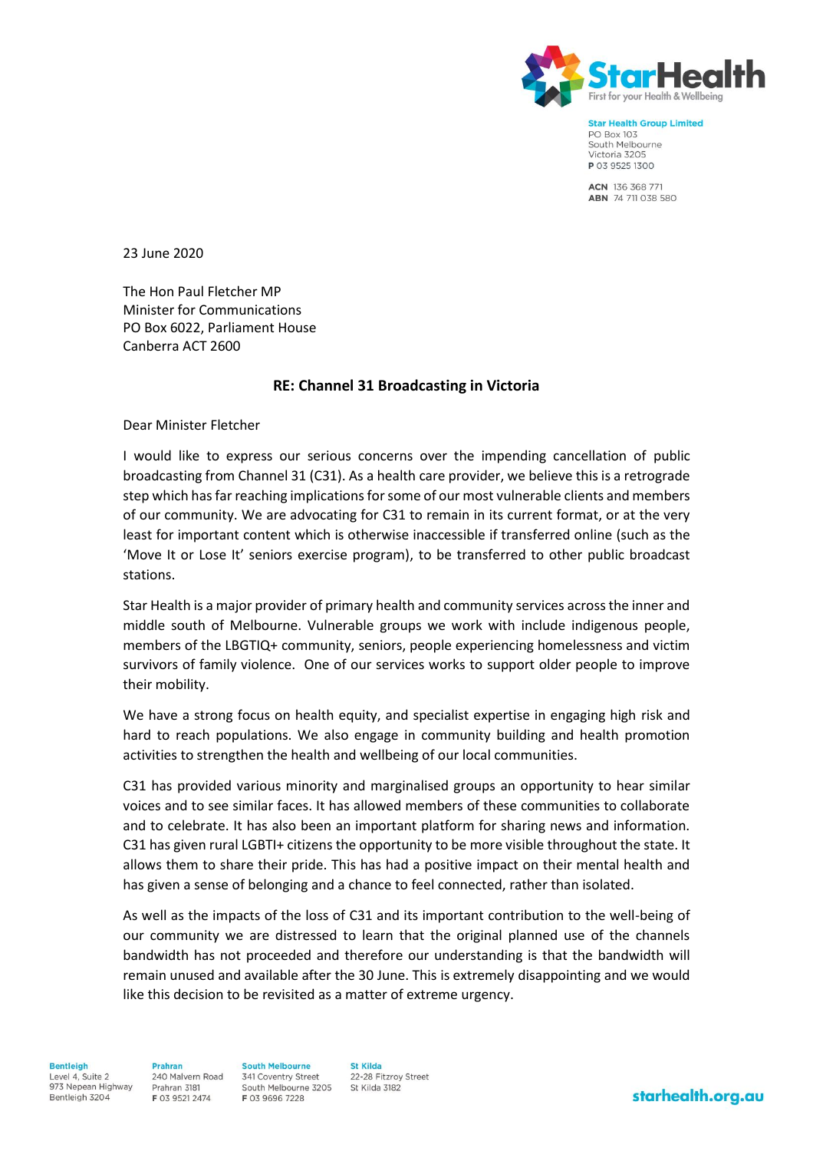

**Star Health Group Limited PO Box 103** South Melbourne Victoria 3205 P 03 9525 1300

ACN 136 368 771 ABN 74 711 038 580

23 June 2020

The Hon Paul Fletcher MP Minister for Communications PO Box 6022, Parliament House Canberra ACT 2600

## **RE: Channel 31 Broadcasting in Victoria**

Dear Minister Fletcher

I would like to express our serious concerns over the impending cancellation of public broadcasting from Channel 31 (C31). As a health care provider, we believe this is a retrograde step which has far reaching implications for some of our most vulnerable clients and members of our community. We are advocating for C31 to remain in its current format, or at the very least for important content which is otherwise inaccessible if transferred online (such as the 'Move It or Lose It' seniors exercise program), to be transferred to other public broadcast stations.

Star Health is a major provider of primary health and community services across the inner and middle south of Melbourne. Vulnerable groups we work with include indigenous people, members of the LBGTIQ+ community, seniors, people experiencing homelessness and victim survivors of family violence. One of our services works to support older people to improve their mobility.

We have a strong focus on health equity, and specialist expertise in engaging high risk and hard to reach populations. We also engage in community building and health promotion activities to strengthen the health and wellbeing of our local communities.

C31 has provided various minority and marginalised groups an opportunity to hear similar voices and to see similar faces. It has allowed members of these communities to collaborate and to celebrate. It has also been an important platform for sharing news and information. C31 has given rural LGBTI+ citizens the opportunity to be more visible throughout the state. It allows them to share their pride. This has had a positive impact on their mental health and has given a sense of belonging and a chance to feel connected, rather than isolated.

As well as the impacts of the loss of C31 and its important contribution to the well-being of our community we are distressed to learn that the original planned use of the channels bandwidth has not proceeded and therefore our understanding is that the bandwidth will remain unused and available after the 30 June. This is extremely disappointing and we would like this decision to be revisited as a matter of extreme urgency.

**Bentleigh** Level 4, Suite 2 973 Nepean Highway Bentleigh 3204

**Drahran** 240 Malvern Road Prahran 3181 F 03 9521 2474

**South Melbourne** 341 Coventry Street South Melbourne 3205 F 03 9696 7228

**St Kilda** 22-28 Fitzrov Street St Kilda 3182